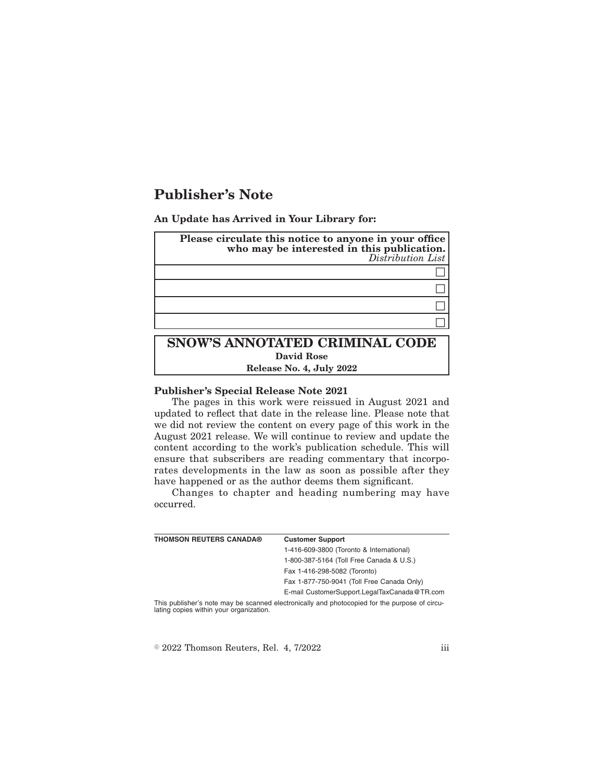# **Publisher's Note**

**An Update has Arrived in Your Library for:**

| Please circulate this notice to anyone in your office<br>who may be interested in this publication.<br>Distribution List |
|--------------------------------------------------------------------------------------------------------------------------|
|                                                                                                                          |
|                                                                                                                          |
|                                                                                                                          |
|                                                                                                                          |
| SNOW'S ANNOTATED CRIMINAL CODE                                                                                           |

## **David Rose**

**Release No. 4, July 2022**

#### **Publisher's Special Release Note 2021**

The pages in this work were reissued in August 2021 and updated to reflect that date in the release line. Please note that we did not review the content on every page of this work in the August 2021 release. We will continue to review and update the content according to the work's publication schedule. This will ensure that subscribers are reading commentary that incorporates developments in the law as soon as possible after they have happened or as the author deems them significant.

Changes to chapter and heading numbering may have occurred.

| <b>THOMSON REUTERS CANADA®</b>          | <b>Customer Support</b>                                                                       |
|-----------------------------------------|-----------------------------------------------------------------------------------------------|
|                                         | 1-416-609-3800 (Toronto & International)                                                      |
|                                         | 1-800-387-5164 (Toll Free Canada & U.S.)                                                      |
|                                         | Fax 1-416-298-5082 (Toronto)                                                                  |
|                                         | Fax 1-877-750-9041 (Toll Free Canada Only)                                                    |
|                                         | E-mail CustomerSupport.LegalTaxCanada@TR.com                                                  |
| lating copies within your organization. | This publisher's note may be scanned electronically and photocopied for the purpose of circu- |

 $\textdegree$  2022 Thomson Reuters, Rel. 4, 7/2022 iii